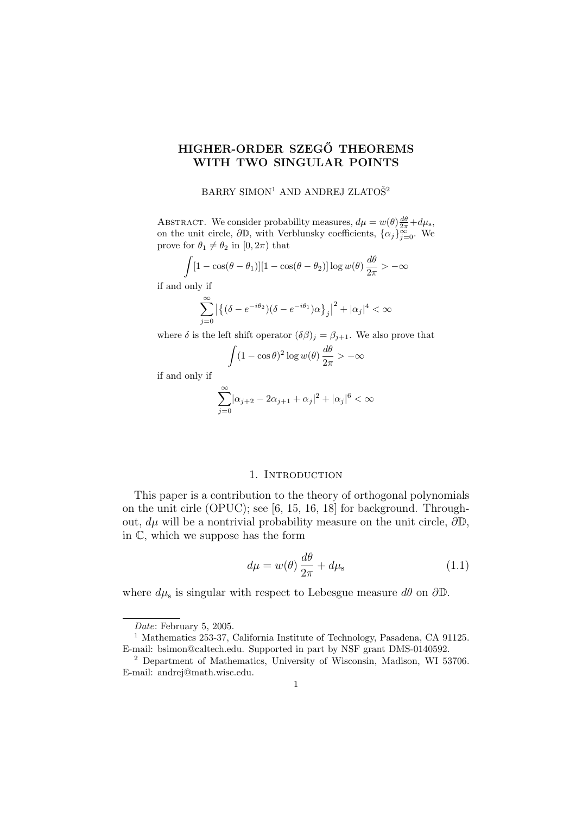# HIGHER-ORDER SZEGŐ THEOREMS WITH TWO SINGULAR POINTS

# BARRY SIMON<sup>1</sup> AND ANDREJ ZLATOŠ<sup>2</sup>

ABSTRACT. We consider probability measures,  $d\mu = w(\theta) \frac{d\theta}{2\pi} + d\mu_s$ , on the unit circle,  $\partial \mathbb{D}$ , with Verblunsky coefficients,  $\{\alpha_j\}_{j=0}^{\infty}$ . We prove for  $\theta_1 \neq \theta_2$  in  $[0, 2\pi)$  that

$$
\int [1 - \cos(\theta - \theta_1)][1 - \cos(\theta - \theta_2)] \log w(\theta) \frac{d\theta}{2\pi} > -\infty
$$

if and only if

$$
\sum_{j=0}^{\infty} \left| \left\{ (\delta - e^{-i\theta_2}) (\delta - e^{-i\theta_1}) \alpha \right\}_j \right|^2 + |\alpha_j|^4 < \infty
$$

where  $\delta$  is the left shift operator  $(\delta \beta)_j = \beta_{j+1}$ . We also prove that

$$
\int (1 - \cos \theta)^2 \log w(\theta) \frac{d\theta}{2\pi} > -\infty
$$

if and only if

$$
\sum_{j=0}^{\infty} |\alpha_{j+2} - 2\alpha_{j+1} + \alpha_j|^2 + |\alpha_j|^6 < \infty
$$

### 1. INTRODUCTION

This paper is a contribution to the theory of orthogonal polynomials on the unit cirle (OPUC); see [6, 15, 16, 18] for background. Throughout,  $d\mu$  will be a nontrivial probability measure on the unit circle,  $\partial \mathbb{D}$ , in C, which we suppose has the form

$$
d\mu = w(\theta) \frac{d\theta}{2\pi} + d\mu_{\rm s} \tag{1.1}
$$

where  $d\mu_s$  is singular with respect to Lebesgue measure  $d\theta$  on  $\partial\mathbb{D}$ .

Date: February 5, 2005.

<sup>1</sup> Mathematics 253-37, California Institute of Technology, Pasadena, CA 91125. E-mail: bsimon@caltech.edu. Supported in part by NSF grant DMS-0140592.

<sup>2</sup> Department of Mathematics, University of Wisconsin, Madison, WI 53706. E-mail: andrej@math.wisc.edu.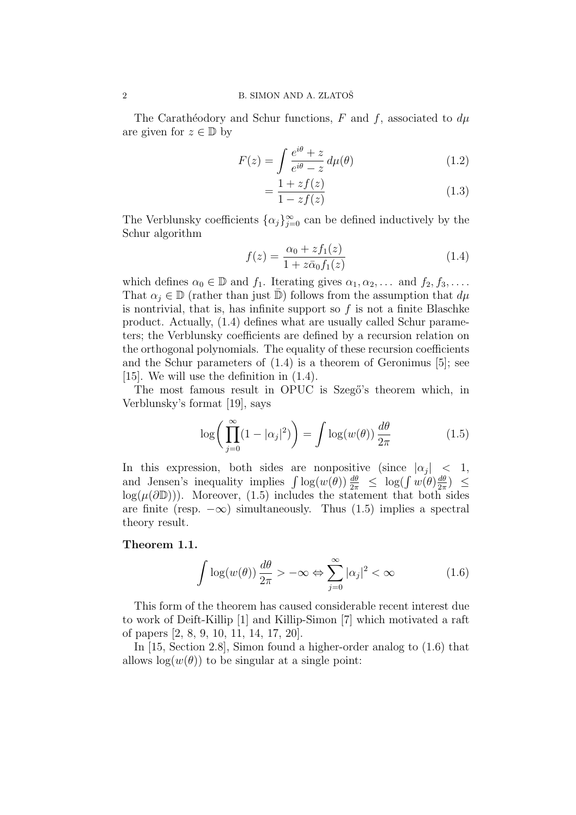The Carathéodory and Schur functions, F and f, associated to  $d\mu$ are given for  $z \in \mathbb{D}$  by

$$
F(z) = \int \frac{e^{i\theta} + z}{e^{i\theta} - z} d\mu(\theta)
$$
 (1.2)

$$
=\frac{1+zf(z)}{1-zf(z)}\tag{1.3}
$$

The Verblunsky coefficients  $\{\alpha_j\}_{j=0}^{\infty}$  can be defined inductively by the Schur algorithm

$$
f(z) = \frac{\alpha_0 + z f_1(z)}{1 + z \bar{\alpha}_0 f_1(z)}
$$
(1.4)

which defines  $\alpha_0 \in \mathbb{D}$  and  $f_1$ . Iterating gives  $\alpha_1, \alpha_2, \ldots$  and  $f_2, f_3, \ldots$ . That  $\alpha_j \in \mathbb{D}$  (rather than just  $\mathbb{D}$ ) follows from the assumption that  $d\mu$ is nontrivial, that is, has infinite support so  $f$  is not a finite Blaschke product. Actually, (1.4) defines what are usually called Schur parameters; the Verblunsky coefficients are defined by a recursion relation on the orthogonal polynomials. The equality of these recursion coefficients and the Schur parameters of (1.4) is a theorem of Geronimus [5]; see [15]. We will use the definition in (1.4).

The most famous result in OPUC is Szegő's theorem which, in Verblunsky's format [19], says

$$
\log\bigg(\prod_{j=0}^{\infty} (1 - |\alpha_j|^2)\bigg) = \int \log(w(\theta)) \frac{d\theta}{2\pi}
$$
 (1.5)

In this expression, both sides are nonpositive (since  $|\alpha_j|$  < 1, and Jensen's inequality implies  $\int \log(w(\theta)) \frac{d\theta}{2\pi} \leq \log(\int w(\theta) \frac{d\theta}{2\pi})$  $\frac{d\theta}{2\pi}$ )  $\leq$  $log(\mu(\partial \mathbb{D}))$ . Moreover, (1.5) includes the statement that both sides are finite (resp.  $-\infty$ ) simultaneously. Thus (1.5) implies a spectral theory result.

### Theorem 1.1.

$$
\int \log(w(\theta)) \frac{d\theta}{2\pi} > -\infty \Leftrightarrow \sum_{j=0}^{\infty} |\alpha_j|^2 < \infty \tag{1.6}
$$

This form of the theorem has caused considerable recent interest due to work of Deift-Killip [1] and Killip-Simon [7] which motivated a raft of papers [2, 8, 9, 10, 11, 14, 17, 20].

In [15, Section 2.8], Simon found a higher-order analog to (1.6) that allows  $log(w(\theta))$  to be singular at a single point: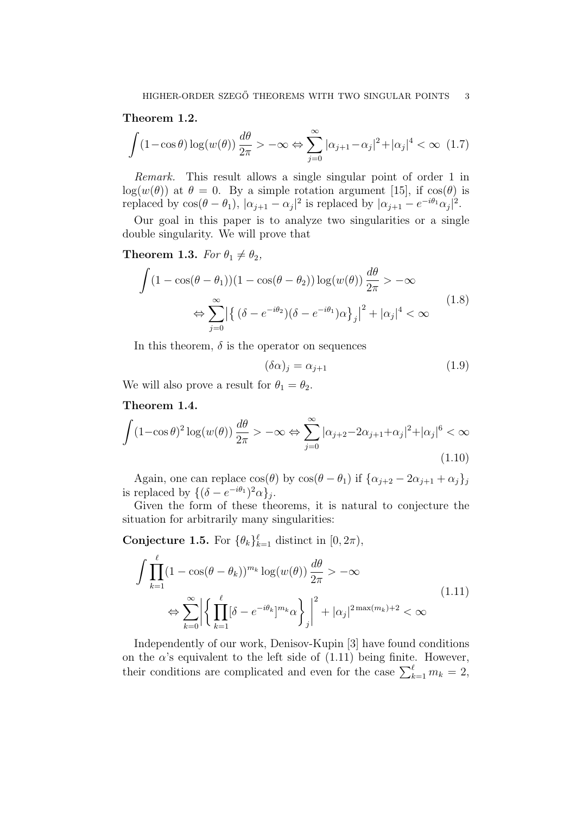Theorem 1.2.

$$
\int (1 - \cos \theta) \log(w(\theta)) \frac{d\theta}{2\pi} > -\infty \Leftrightarrow \sum_{j=0}^{\infty} |\alpha_{j+1} - \alpha_j|^2 + |\alpha_j|^4 < \infty \quad (1.7)
$$

Remark. This result allows a single singular point of order 1 in log( $w(\theta)$ ) at  $\theta = 0$ . By a simple rotation argument [15], if  $cos(\theta)$  is replaced by  $\cos(\theta - \theta_1)$ ,  $|\alpha_{j+1} - \alpha_j|^2$  is replaced by  $|\alpha_{j+1} - e^{-i\theta_1}\alpha_j|^2$ .

Our goal in this paper is to analyze two singularities or a single double singularity. We will prove that

**Theorem 1.3.** For  $\theta_1 \neq \theta_2$ ,

$$
\int (1 - \cos(\theta - \theta_1))(1 - \cos(\theta - \theta_2)) \log(w(\theta)) \frac{d\theta}{2\pi} > -\infty
$$
  

$$
\Leftrightarrow \sum_{j=0}^{\infty} \left| \left\{ (\delta - e^{-i\theta_2}) (\delta - e^{-i\theta_1}) \alpha \right\}_j \right|^2 + |\alpha_j|^4 < \infty
$$
\n(1.8)

In this theorem,  $\delta$  is the operator on sequences

$$
(\delta \alpha)_j = \alpha_{j+1} \tag{1.9}
$$

We will also prove a result for  $\theta_1 = \theta_2$ .

### Theorem 1.4.

$$
\int (1 - \cos \theta)^2 \log(w(\theta)) \frac{d\theta}{2\pi} > -\infty \Leftrightarrow \sum_{j=0}^{\infty} |\alpha_{j+2} - 2\alpha_{j+1} + \alpha_j|^2 + |\alpha_j|^6 < \infty
$$
\n(1.10)

Again, one can replace  $\cos(\theta)$  by  $\cos(\theta - \theta_1)$  if  $\{\alpha_{j+2} - 2\alpha_{j+1} + \alpha_j\}_j$ is replaced by  $\{(\delta - e^{-i\theta_1})^2 \alpha\}_j$ .

Given the form of these theorems, it is natural to conjecture the situation for arbitrarily many singularities:

**Conjecture 1.5.** For  $\{\theta_k\}_{k=1}^{\ell}$  distinct in  $[0, 2\pi)$ ,

$$
\int \prod_{k=1}^{\ell} (1 - \cos(\theta - \theta_k))^{m_k} \log(w(\theta)) \frac{d\theta}{2\pi} > -\infty
$$
\n
$$
\Leftrightarrow \sum_{k=0}^{\infty} \left| \left\{ \prod_{k=1}^{\ell} [\delta - e^{-i\theta_k}]^{m_k} \alpha \right\} \right|^{2} + |\alpha_j|^{2 \max(m_k) + 2} < \infty
$$
\n(1.11)

Independently of our work, Denisov-Kupin [3] have found conditions on the  $\alpha$ 's equivalent to the left side of (1.11) being finite. However, their conditions are complicated and even for the case  $\sum_{k=1}^{\ell} m_k = 2$ ,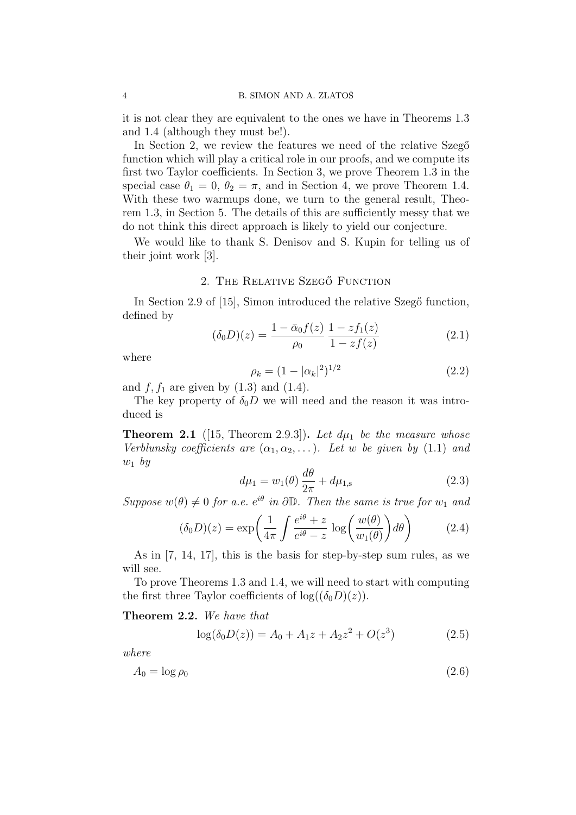it is not clear they are equivalent to the ones we have in Theorems 1.3 and 1.4 (although they must be!).

In Section 2, we review the features we need of the relative Szego function which will play a critical role in our proofs, and we compute its first two Taylor coefficients. In Section 3, we prove Theorem 1.3 in the special case  $\theta_1 = 0$ ,  $\theta_2 = \pi$ , and in Section 4, we prove Theorem 1.4. With these two warmups done, we turn to the general result, Theorem 1.3, in Section 5. The details of this are sufficiently messy that we do not think this direct approach is likely to yield our conjecture.

We would like to thank S. Denisov and S. Kupin for telling us of their joint work [3].

### 2. THE RELATIVE SZEGŐ FUNCTION

In Section 2.9 of [15], Simon introduced the relative Szegő function, defined by

$$
(\delta_0 D)(z) = \frac{1 - \bar{\alpha}_0 f(z)}{\rho_0} \frac{1 - z f_1(z)}{1 - z f(z)}
$$
(2.1)

where

$$
\rho_k = (1 - |\alpha_k|^2)^{1/2} \tag{2.2}
$$

and  $f, f_1$  are given by  $(1.3)$  and  $(1.4)$ .

The key property of  $\delta_0 D$  we will need and the reason it was introduced is

**Theorem 2.1** ([15, Theorem 2.9.3]). Let  $d\mu_1$  be the measure whose Verblunsky coefficients are  $(\alpha_1, \alpha_2, \ldots)$ . Let w be given by (1.1) and  $w_1$  by

$$
d\mu_1 = w_1(\theta) \frac{d\theta}{2\pi} + d\mu_{1,s} \tag{2.3}
$$

Suppose  $w(\theta) \neq 0$  for a.e.  $e^{i\theta}$  in  $\partial \mathbb{D}$ . Then the same is true for  $w_1$  and

$$
(\delta_0 D)(z) = \exp\left(\frac{1}{4\pi} \int \frac{e^{i\theta} + z}{e^{i\theta} - z} \log\left(\frac{w(\theta)}{w_1(\theta)}\right) d\theta\right) \tag{2.4}
$$

As in [7, 14, 17], this is the basis for step-by-step sum rules, as we will see.

To prove Theorems 1.3 and 1.4, we will need to start with computing the first three Taylor coefficients of  $log((\delta_0 D)(z))$ .

Theorem 2.2. We have that

$$
log(\delta_0 D(z)) = A_0 + A_1 z + A_2 z^2 + O(z^3)
$$
 (2.5)

where

$$
A_0 = \log \rho_0 \tag{2.6}
$$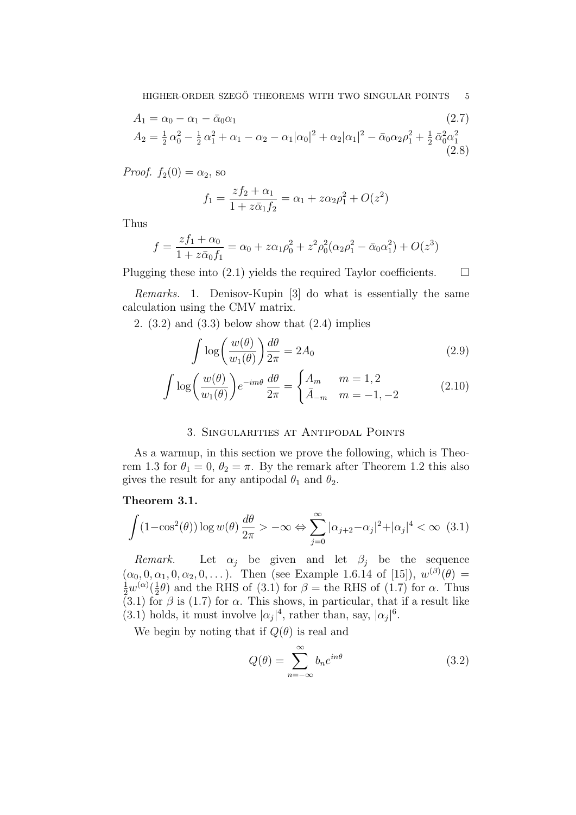$$
A_1 = \alpha_0 - \alpha_1 - \bar{\alpha}_0 \alpha_1
$$
\n
$$
A_2 = \frac{1}{2} \alpha_0^2 - \frac{1}{2} \alpha_1^2 + \alpha_1 - \alpha_2 - \alpha_1 |\alpha_0|^2 + \alpha_2 |\alpha_1|^2 - \bar{\alpha}_0 \alpha_2 \rho_1^2 + \frac{1}{2} \bar{\alpha}_0^2 \alpha_1^2
$$
\n(2.8)

*Proof.*  $f_2(0) = \alpha_2$ , so

$$
f_1 = \frac{zf_2 + \alpha_1}{1 + z\bar{\alpha}_1 f_2} = \alpha_1 + z\alpha_2 \rho_1^2 + O(z^2)
$$

Thus

$$
f = \frac{zf_1 + \alpha_0}{1 + z\bar{\alpha}_0 f_1} = \alpha_0 + z\alpha_1 \rho_0^2 + z^2 \rho_0^2 (\alpha_2 \rho_1^2 - \bar{\alpha}_0 \alpha_1^2) + O(z^3)
$$

Plugging these into (2.1) yields the required Taylor coefficients.  $\Box$ 

Remarks. 1. Denisov-Kupin [3] do what is essentially the same calculation using the CMV matrix.

2.  $(3.2)$  and  $(3.3)$  below show that  $(2.4)$  implies

$$
\int \log \left( \frac{w(\theta)}{w_1(\theta)} \right) \frac{d\theta}{2\pi} = 2A_0 \tag{2.9}
$$

$$
\int \log \left( \frac{w(\theta)}{w_1(\theta)} \right) e^{-im\theta} \frac{d\theta}{2\pi} = \begin{cases} A_m & m = 1, 2 \\ \bar{A}_{-m} & m = -1, -2 \end{cases}
$$
 (2.10)

## 3. Singularities at Antipodal Points

As a warmup, in this section we prove the following, which is Theorem 1.3 for  $\theta_1 = 0$ ,  $\theta_2 = \pi$ . By the remark after Theorem 1.2 this also gives the result for any antipodal  $\theta_1$  and  $\theta_2$ .

### Theorem 3.1.

$$
\int (1 - \cos^2(\theta)) \log w(\theta) \frac{d\theta}{2\pi} > -\infty \Leftrightarrow \sum_{j=0}^{\infty} |\alpha_{j+2} - \alpha_j|^2 + |\alpha_j|^4 < \infty \quad (3.1)
$$

Remark. Let  $\alpha_j$  be given and let  $\beta_j$  be the sequence  $(\alpha_0, 0, \alpha_1, 0, \alpha_2, 0, \dots)$ . Then (see Example 1.6.14 of [15]),  $w^{(\beta)}(\theta) =$  $rac{1}{2}w^{(\alpha)}(\frac{1}{2})$  $\frac{1}{2}\theta$  and the RHS of (3.1) for  $\beta$  = the RHS of (1.7) for  $\alpha$ . Thus  $(3.1)$  for  $\beta$  is (1.7) for  $\alpha$ . This shows, in particular, that if a result like (3.1) holds, it must involve  $|\alpha_j|^4$ , rather than, say,  $|\alpha_j|^6$ .

We begin by noting that if  $Q(\theta)$  is real and

$$
Q(\theta) = \sum_{n = -\infty}^{\infty} b_n e^{in\theta}
$$
 (3.2)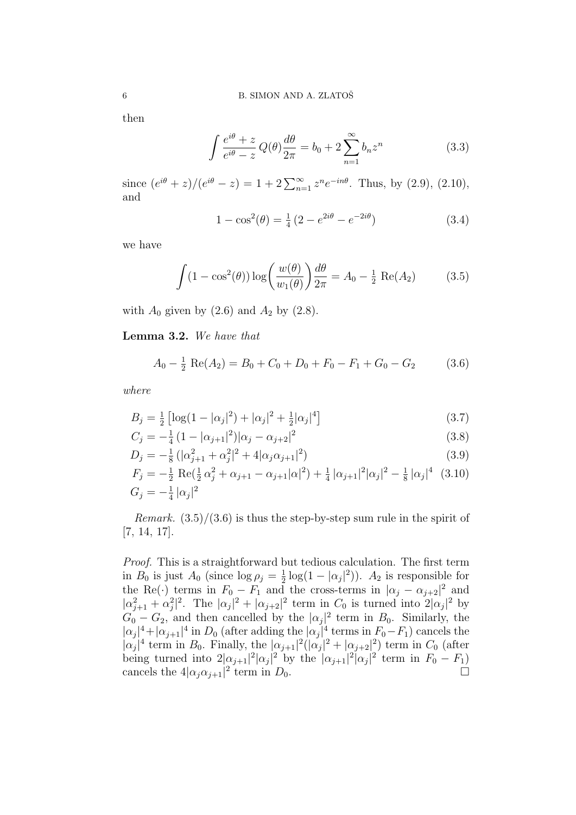then

$$
\int \frac{e^{i\theta} + z}{e^{i\theta} - z} Q(\theta) \frac{d\theta}{2\pi} = b_0 + 2 \sum_{n=1}^{\infty} b_n z^n
$$
\n(3.3)

since  $(e^{i\theta} + z)/(e^{i\theta} - z) = 1 + 2\sum_{n=1}^{\infty} z^n e^{-in\theta}$ . Thus, by (2.9), (2.10), and

$$
1 - \cos^{2}(\theta) = \frac{1}{4} \left( 2 - e^{2i\theta} - e^{-2i\theta} \right)
$$
 (3.4)

we have

$$
\int (1 - \cos^2(\theta)) \log \left( \frac{w(\theta)}{w_1(\theta)} \right) \frac{d\theta}{2\pi} = A_0 - \frac{1}{2} \operatorname{Re}(A_2)
$$
 (3.5)

with  $A_0$  given by (2.6) and  $A_2$  by (2.8).

Lemma 3.2. We have that

$$
A_0 - \frac{1}{2} \text{ Re}(A_2) = B_0 + C_0 + D_0 + F_0 - F_1 + G_0 - G_2 \tag{3.6}
$$

where

$$
B_j = \frac{1}{2} \left[ \log(1 - |\alpha_j|^2) + |\alpha_j|^2 + \frac{1}{2} |\alpha_j|^4 \right]
$$
\n(3.7)

$$
C_j = -\frac{1}{4} \left( 1 - |\alpha_{j+1}|^2 \right) |\alpha_j - \alpha_{j+2}|^2 \tag{3.8}
$$

$$
D_j = -\frac{1}{8} \left( |\alpha_{j+1}^2 + \alpha_j^2|^2 + 4|\alpha_j \alpha_{j+1}|^2 \right) \tag{3.9}
$$

$$
F_j = -\frac{1}{2} \text{ Re}(\frac{1}{2}\alpha_j^2 + \alpha_{j+1} - \alpha_{j+1}|\alpha|^2) + \frac{1}{4} |\alpha_{j+1}|^2 |\alpha_j|^2 - \frac{1}{8} |\alpha_j|^4 \quad (3.10)
$$
  

$$
G_j = -\frac{1}{4} |\alpha_j|^2
$$

*Remark.*  $(3.5)/(3.6)$  is thus the step-by-step sum rule in the spirit of [7, 14, 17].

Proof. This is a straightforward but tedious calculation. The first term in  $B_0$  is just  $A_0$  (since  $\log \rho_j = \frac{1}{2}$  $\frac{1}{2} \log(1 - |\alpha_j|^2)$ ).  $A_2$  is responsible for the Re(·) terms in  $F_0 - F_1$  and the cross-terms in  $|\alpha_j - \alpha_{j+2}|^2$  and  $|\alpha_{j+1}^2 + \alpha_j^2|^2$ . The  $|\alpha_j|^2 + |\alpha_{j+2}|^2$  term in  $C_0$  is turned into  $2|\alpha_j|^2$  by  $G_0 - G_2$ , and then cancelled by the  $|\alpha_j|^2$  term in  $B_0$ . Similarly, the  $|\alpha_j|^4 + |\alpha_{j+1}|^4$  in  $D_0$  (after adding the  $|\alpha_j|^4$  terms in  $F_0 - F_1$ ) cancels the  $|\alpha_j|^4$  term in  $B_0$ . Finally, the  $|\alpha_{j+1}|^2(|\alpha_j|^2 + |\alpha_{j+2}|^2)$  term in  $C_0$  (after being turned into  $2|\alpha_{j+1}|^2 |\alpha_j|^2$  by the  $|\alpha_{j+1}|^2 |\alpha_j|^2$  term in  $F_0 - F_1$ ) cancels the  $4|\alpha_j\alpha_{j+1}|^2$  term in  $D_0$ .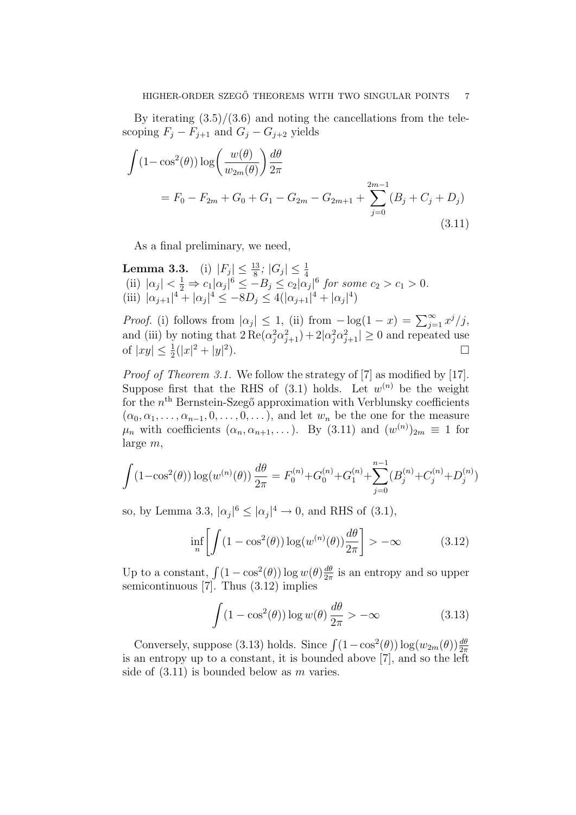By iterating  $(3.5)/(3.6)$  and noting the cancellations from the telescoping  $F_j - F_{j+1}$  and  $G_j - G_{j+2}$  yields

$$
\int (1 - \cos^2(\theta)) \log \left( \frac{w(\theta)}{w_{2m}(\theta)} \right) \frac{d\theta}{2\pi}
$$
  
=  $F_0 - F_{2m} + G_0 + G_1 - G_{2m} - G_{2m+1} + \sum_{j=0}^{2m-1} (B_j + C_j + D_j)$  (3.11)

As a final preliminary, we need,

Lemma 3.3. (i)  $|F_j| \le \frac{13}{8}$ ;  $|G_j| \le \frac{1}{4}$ <br>(ii)  $|\alpha_j| < \frac{1}{2} \Rightarrow c_1 |\alpha_j|^6 \le -B_j \le c_2 |\alpha_j|^6$  for some  $c_2 > c_1 > 0$ . (iii)  $|\alpha_{j+1}|^4 + |\alpha_j|^4 \leq -8D_j \leq 4(|\alpha_{j+1}|^4 + |\alpha_j|^4)$ 

*Proof.* (i) follows from  $|\alpha_j| \leq 1$ , (ii) from  $-\log(1-x) = \sum_{j=1}^{\infty} x^j/j$ , and (iii) by noting that  $2 \text{Re}(\alpha_j^2 \alpha_{j+1}^2) + 2|\alpha_j^2 \alpha_{j+1}^2| \ge 0$  and repeated use of  $|xy| \leq \frac{1}{2}(|x|^2 + |y|^2)$ ).  $\Box$ 

Proof of Theorem 3.1. We follow the strategy of [7] as modified by [17]. Suppose first that the RHS of  $(3.1)$  holds. Let  $w^{(n)}$  be the weight for the  $n<sup>th</sup>$  Bernstein-Szegő approximation with Verblunsky coefficients  $(\alpha_0, \alpha_1, \ldots, \alpha_{n-1}, 0, \ldots, 0, \ldots)$ , and let  $w_n$  be the one for the measure  $\mu_n$  with coefficients  $(\alpha_n, \alpha_{n+1}, \dots)$ . By  $(3.11)$  and  $(w^{(n)})_{2m} \equiv 1$  for large m,

$$
\int (1 - \cos^2(\theta)) \log(w^{(n)}(\theta)) \frac{d\theta}{2\pi} = F_0^{(n)} + G_0^{(n)} + G_1^{(n)} + \sum_{j=0}^{n-1} (B_j^{(n)} + C_j^{(n)} + D_j^{(n)})
$$

so, by Lemma 3.3,  $|\alpha_j|^6 \leq |\alpha_j|^4 \to 0$ , and RHS of (3.1),

$$
\inf_{n} \left[ \int (1 - \cos^{2}(\theta)) \log(w^{(n)}(\theta)) \frac{d\theta}{2\pi} \right] > -\infty
$$
 (3.12)

Up to a constant,  $\int (1 - \cos^2(\theta)) \log w(\theta) \frac{d\theta}{2\pi}$  $\frac{d\theta}{2\pi}$  is an entropy and so upper semicontinuous [7]. Thus (3.12) implies

$$
\int (1 - \cos^2(\theta)) \log w(\theta) \frac{d\theta}{2\pi} > -\infty
$$
 (3.13)

Conversely, suppose (3.13) holds. Since  $\int (1-\cos^2(\theta)) \log(w_{2m}(\theta)) \frac{d\theta}{2\pi}$ is an entropy up to a constant, it is bounded above [7], and so the left side of  $(3.11)$  is bounded below as m varies.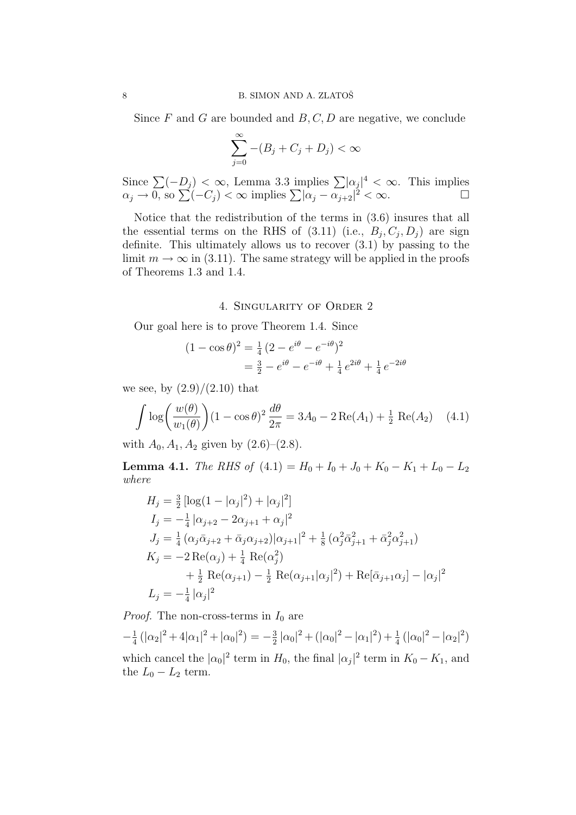Since  $F$  and  $G$  are bounded and  $B, C, D$  are negative, we conclude

$$
\sum_{j=0}^{\infty} -(B_j + C_j + D_j) < \infty
$$

Since  $\sum (-D_j) < \infty$ , Lemma 3.3 implies  $\sum |\alpha_j|^4 < \infty$ . This implies  $\alpha_j \to 0$ , so  $\sum (-C_j) < \infty$  implies  $\sum |\alpha_j - \alpha_{j+2}|^2 < \infty$ .

Notice that the redistribution of the terms in (3.6) insures that all the essential terms on the RHS of  $(3.11)$  (i.e.,  $B_j, C_j, D_j$ ) are sign definite. This ultimately allows us to recover (3.1) by passing to the limit  $m \to \infty$  in (3.11). The same strategy will be applied in the proofs of Theorems 1.3 and 1.4.

4. Singularity of Order 2

Our goal here is to prove Theorem 1.4. Since

$$
(1 - \cos \theta)^2 = \frac{1}{4} (2 - e^{i\theta} - e^{-i\theta})^2
$$
  
=  $\frac{3}{2} - e^{i\theta} - e^{-i\theta} + \frac{1}{4} e^{2i\theta} + \frac{1}{4} e^{-2i\theta}$ 

we see, by  $(2.9)/(2.10)$  that

$$
\int \log \left( \frac{w(\theta)}{w_1(\theta)} \right) (1 - \cos \theta)^2 \frac{d\theta}{2\pi} = 3A_0 - 2 \operatorname{Re}(A_1) + \frac{1}{2} \operatorname{Re}(A_2) \quad (4.1)
$$

with  $A_0, A_1, A_2$  given by  $(2.6)$ – $(2.8)$ .

**Lemma 4.1.** The RHS of  $(4.1) = H_0 + I_0 + J_0 + K_0 - K_1 + L_0 - L_2$ where

$$
H_j = \frac{3}{2} \left[ \log(1 - |\alpha_j|^2) + |\alpha_j|^2 \right]
$$
  
\n
$$
I_j = -\frac{1}{4} |\alpha_{j+2} - 2\alpha_{j+1} + \alpha_j|^2
$$
  
\n
$$
J_j = \frac{1}{4} (\alpha_j \bar{\alpha}_{j+2} + \bar{\alpha}_j \alpha_{j+2}) |\alpha_{j+1}|^2 + \frac{1}{8} (\alpha_j^2 \bar{\alpha}_{j+1}^2 + \bar{\alpha}_j^2 \alpha_{j+1}^2)
$$
  
\n
$$
K_j = -2 \operatorname{Re}(\alpha_j) + \frac{1}{4} \operatorname{Re}(\alpha_j^2)
$$
  
\n
$$
+ \frac{1}{2} \operatorname{Re}(\alpha_{j+1}) - \frac{1}{2} \operatorname{Re}(\alpha_{j+1}|\alpha_j|^2) + \operatorname{Re}[\bar{\alpha}_{j+1}\alpha_j] - |\alpha_j|^2
$$
  
\n
$$
L_j = -\frac{1}{4} |\alpha_j|^2
$$

*Proof.* The non-cross-terms in  $I_0$  are

 $-\frac{1}{4}$  $\frac{1}{4}(|\alpha_2|^2 + 4|\alpha_1|^2 + |\alpha_0|^2) = -\frac{3}{2}$  $\frac{3}{2} |\alpha_0|^2 + (|\alpha_0|^2 - |\alpha_1|^2) + \frac{1}{4} (|\alpha_0|^2 - |\alpha_2|^2)$ which cancel the  $|\alpha_0|^2$  term in  $H_0$ , the final  $|\alpha_j|^2$  term in  $K_0 - K_1$ , and the  $L_0 - L_2$  term.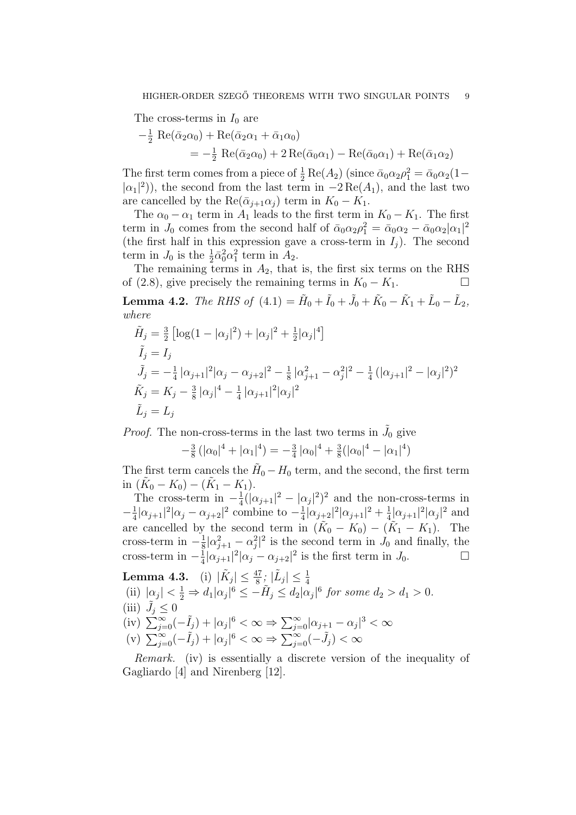The cross-terms in  $I_0$  are

$$
-\frac{1}{2} \operatorname{Re}(\bar{\alpha}_2 \alpha_0) + \operatorname{Re}(\bar{\alpha}_2 \alpha_1 + \bar{\alpha}_1 \alpha_0)
$$
  
=  $-\frac{1}{2} \operatorname{Re}(\bar{\alpha}_2 \alpha_0) + 2 \operatorname{Re}(\bar{\alpha}_0 \alpha_1) - \operatorname{Re}(\bar{\alpha}_0 \alpha_1) + \operatorname{Re}(\bar{\alpha}_1 \alpha_2)$ 

The first term comes from a piece of  $\frac{1}{2}$  Re( $A_2$ ) (since  $\bar{\alpha}_0 \alpha_2 \rho_1^2 = \bar{\alpha}_0 \alpha_2 (1 |\alpha_1|^2$ ), the second from the last term in  $-2 \text{Re}(A_1)$ , and the last two are cancelled by the Re( $\bar{\alpha}_{i+1}\alpha_i$ ) term in  $K_0 - K_1$ .

The  $\alpha_0 - \alpha_1$  term in  $A_1$  leads to the first term in  $K_0 - K_1$ . The first term in  $J_0$  comes from the second half of  $\bar{\alpha}_0 \alpha_2 \rho_1^2 = \bar{\alpha}_0 \alpha_2 - \bar{\alpha}_0 \alpha_2 |\alpha_1|^2$ (the first half in this expression gave a cross-term in  $I_i$ ). The second term in  $J_0$  is the  $\frac{1}{2}\bar{\alpha}_0^2\alpha_1^2$  term in  $A_2$ .

The remaining terms in  $A_2$ , that is, the first six terms on the RHS of (2.8), give precisely the remaining terms in  $K_0 - K_1$ . □

**Lemma 4.2.** The RHS of  $(4.1) = \tilde{H}_0 + \tilde{I}_0 + \tilde{J}_0 + \tilde{K}_0 - \tilde{K}_1 + \tilde{L}_0 - \tilde{L}_2$ , where

$$
\tilde{H}_j = \frac{3}{2} \left[ \log(1 - |\alpha_j|^2) + |\alpha_j|^2 + \frac{1}{2} |\alpha_j|^4 \right]
$$
\n
$$
\tilde{I}_j = I_j
$$
\n
$$
\tilde{J}_j = -\frac{1}{4} |\alpha_{j+1}|^2 |\alpha_j - \alpha_{j+2}|^2 - \frac{1}{8} |\alpha_{j+1}^2 - \alpha_j^2|^2 - \frac{1}{4} (|\alpha_{j+1}|^2 - |\alpha_j|^2)^2
$$
\n
$$
\tilde{K}_j = K_j - \frac{3}{8} |\alpha_j|^4 - \frac{1}{4} |\alpha_{j+1}|^2 |\alpha_j|^2
$$
\n
$$
\tilde{L}_j = L_j
$$

*Proof.* The non-cross-terms in the last two terms in  $\tilde{J}_0$  give

$$
-\frac{3}{8} (|\alpha_0|^4 + |\alpha_1|^4) = -\frac{3}{4} |\alpha_0|^4 + \frac{3}{8} (|\alpha_0|^4 - |\alpha_1|^4)
$$

The first term cancels the  $H_0 - H_0$  term, and the second, the first term in  $(\tilde{K}_0 - K_0) - (\tilde{K}_1 - K_1).$ 

The cross-term in  $-\frac{1}{4}$  $\frac{1}{4}(|\alpha_{j+1}|^2 - |\alpha_j|^2)^2$  and the non-cross-terms in  $-\frac{1}{4}$  $\frac{1}{4}|\alpha_{j+1}|^2 |\alpha_j - \alpha_{j+2}|^2$  combine to  $-\frac{1}{4}$  $\frac{1}{4}|\alpha_{j+2}|^2|\alpha_{j+1}|^2+\frac{1}{4}$  $\frac{1}{4} |\alpha_{j+1}|^2 |\alpha_j|^2$  and are cancelled by the second term in  $(K_0 - K_0) - (\tilde{K}_1 - K_1)$ . The cross-term in  $-\frac{1}{8}$  $\frac{1}{8}|\alpha_{j+1}^2-\alpha_j^2|^2$  is the second term in  $J_0$  and finally, the cross-term in  $-\frac{1}{4}$  $\frac{1}{4}|\alpha_{j+1}|^2|\alpha_j-\alpha_{j+2}|^2$  is the first term in  $J_0$ .

**Lemma 4.3.** (i) 
$$
|\tilde{K}_j| \leq \frac{47}{8}
$$
;  $|\tilde{L}_j| \leq \frac{1}{4}$   
\n(ii)  $|\alpha_j| < \frac{1}{2} \Rightarrow d_1 |\alpha_j|^6 \leq -\tilde{H}_j \leq d_2 |\alpha_j|^6$  for some  $d_2 > d_1 > 0$ .  
\n(iii)  $\tilde{J}_j \leq 0$   
\n(iv)  $\sum_{j=0}^{\infty} (-\tilde{I}_j) + |\alpha_j|^6 < \infty \Rightarrow \sum_{j=0}^{\infty} |\alpha_{j+1} - \alpha_j|^3 < \infty$   
\n(v)  $\sum_{j=0}^{\infty} (-\tilde{I}_j) + |\alpha_j|^6 < \infty \Rightarrow \sum_{j=0}^{\infty} (-\tilde{J}_j) < \infty$ 

Remark. (iv) is essentially a discrete version of the inequality of Gagliardo [4] and Nirenberg [12].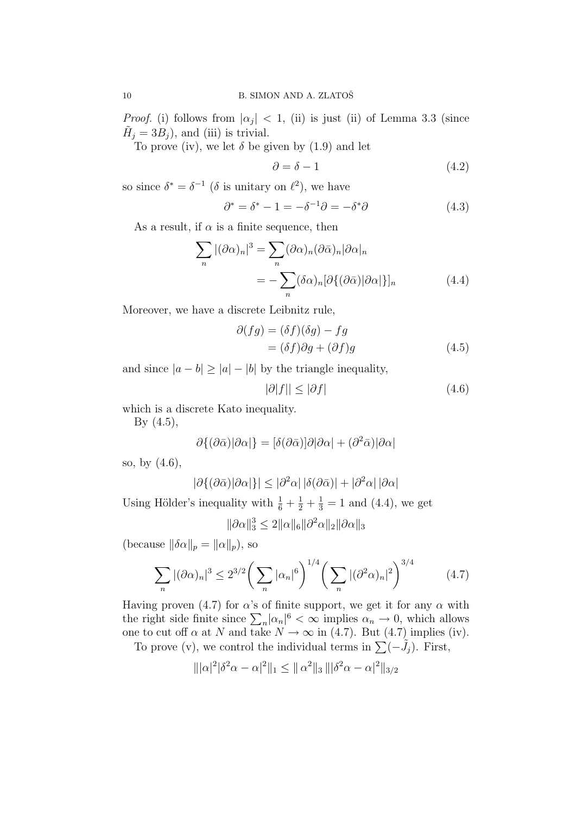*Proof.* (i) follows from  $|\alpha_j| < 1$ , (ii) is just (ii) of Lemma 3.3 (since  $\tilde{H}_j = 3B_j$ , and (iii) is trivial.

To prove (iv), we let  $\delta$  be given by (1.9) and let

$$
\partial = \delta - 1 \tag{4.2}
$$

so since  $\delta^* = \delta^{-1}$  ( $\delta$  is unitary on  $\ell^2$ ), we have

$$
\partial^* = \delta^* - 1 = -\delta^{-1}\partial = -\delta^*\partial \tag{4.3}
$$

As a result, if  $\alpha$  is a finite sequence, then

$$
\sum_{n} |(\partial \alpha)_n|^3 = \sum_{n} (\partial \alpha)_n (\partial \bar{\alpha})_n |\partial \alpha|_n
$$
  
= 
$$
- \sum_{n} (\delta \alpha)_n [\partial \{ (\partial \bar{\alpha}) | \partial \alpha] \}]_n
$$
 (4.4)

Moreover, we have a discrete Leibnitz rule,

$$
\partial(fg) = (\delta f)(\delta g) - fg
$$
  
= (\delta f)\partial g + (\partial f)g (4.5)

and since  $|a - b| \ge |a| - |b|$  by the triangle inequality,

$$
|\partial|f|| \le |\partial f| \tag{4.6}
$$

which is a discrete Kato inequality.

By  $(4.5)$ ,

$$
\partial \{(\partial \bar{\alpha})|\partial \alpha|\} = [\delta(\partial \bar{\alpha})]\partial |\partial \alpha| + (\partial^2 \bar{\alpha})|\partial \alpha|
$$

so, by (4.6),

$$
|\partial \{(\partial \bar{\alpha})|\partial \alpha|\}| \leq |\partial^2 \alpha| \, |\delta(\partial \bar{\alpha})| + |\partial^2 \alpha| \, |\partial \alpha|
$$

Using Hölder's inequality with  $\frac{1}{6} + \frac{1}{2} + \frac{1}{3} = 1$  and (4.4), we get

$$
\|\partial\alpha\|_3^3\leq 2\|\alpha\|_6\|\partial^2\alpha\|_2\|\partial\alpha\|_3
$$

(because  $\|\delta\alpha\|_p = \|\alpha\|_p$ ), so

$$
\sum_{n} |(\partial \alpha)_n|^3 \le 2^{3/2} \bigg( \sum_{n} |\alpha_n|^6 \bigg)^{1/4} \bigg( \sum_{n} |(\partial^2 \alpha)_n|^2 \bigg)^{3/4} \tag{4.7}
$$

Having proven (4.7) for  $\alpha$ 's of finite support, we get it for any  $\alpha$  with the right side finite since  $\sum_{n} |\alpha_n|^6 < \infty$  implies  $\alpha_n \to 0$ , which allows one to cut off  $\alpha$  at N and take  $N \to \infty$  in (4.7). But (4.7) implies (iv).

To prove (v), we control the individual terms in  $\sum (-\tilde{J}_j)$ . First,

$$
\| |\alpha|^2 |\delta^2 \alpha - \alpha|^2 \|_1 \leq \| \alpha^2 \|_3 \| |\delta^2 \alpha - \alpha|^2 \|_{3/2}
$$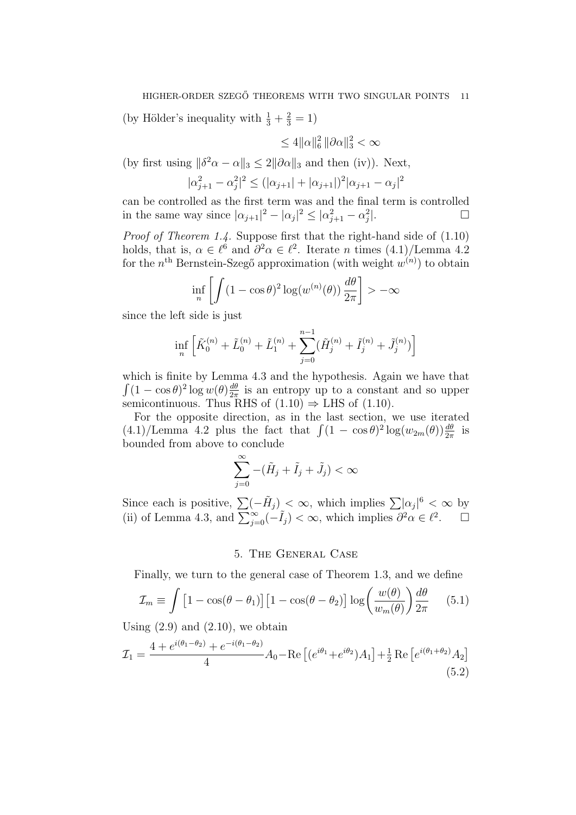(by Hölder's inequality with  $\frac{1}{3} + \frac{2}{3} = 1$ )

$$
\leq 4\|\alpha\|_6^2 \, \|\partial\alpha\|_3^2 < \infty
$$

(by first using  $\|\delta^2 \alpha - \alpha\|_3 \leq 2\|\partial \alpha\|_3$  and then (iv)). Next,

$$
|\alpha_{j+1}^2 - \alpha_j^2|^2 \le (|\alpha_{j+1}| + |\alpha_{j+1}|)^2 |\alpha_{j+1} - \alpha_j|^2
$$

can be controlled as the first term was and the final term is controlled in the same way since  $|\alpha_{j+1}|^2 - |\alpha_j|^2 \leq |\alpha_{j+1}^2 - \alpha_j^2$ |.

Proof of Theorem 1.4. Suppose first that the right-hand side of  $(1.10)$ holds, that is,  $\alpha \in \ell^6$  and  $\partial^2 \alpha \in \ell^2$ . Iterate *n* times  $(4.1)/$ Lemma 4.2 for the  $n^{\text{th}}$  Bernstein-Szegő approximation (with weight  $w^{(n)}$ ) to obtain

$$
\inf_{n} \left[ \int (1 - \cos \theta)^2 \log(w^{(n)}(\theta)) \, \frac{d\theta}{2\pi} \right] > -\infty
$$

since the left side is just

$$
\inf_{n} \left[ \tilde{K}_0^{(n)} + \tilde{L}_0^{(n)} + \tilde{L}_1^{(n)} + \sum_{j=0}^{n-1} (\tilde{H}_j^{(n)} + \tilde{I}_j^{(n)} + \tilde{J}_j^{(n)}) \right]
$$

which is finite by Lemma 4.3 and the hypothesis. Again we have that  $\int (1 - \cos \theta)^2 \log w(\theta) \frac{d\theta}{2\pi}$  $\frac{d\theta}{2\pi}$  is an entropy up to a constant and so upper semicontinuous. Thus RHS of  $(1.10) \Rightarrow$  LHS of  $(1.10)$ .

For the opposite direction, as in the last section, we use iterated  $(4.1)/$ Lemma 4.2 plus the fact that  $\int (1 - \cos \theta)^2 \log(w_{2m}(\theta)) \frac{d\theta}{2\pi}$  is bounded from above to conclude

$$
\sum_{j=0}^{\infty} -(\tilde{H}_j + \tilde{I}_j + \tilde{J}_j) < \infty
$$

Since each is positive,  $\sum (-\tilde{H}_j) < \infty$ , which implies  $\sum |\alpha_j|^6 < \infty$  by (ii) of Lemma 4.3, and  $\sum_{j=0}^{\infty} (-\tilde{I}_j) < \infty$ , which implies  $\partial^2 \alpha \in \ell^2$ .  $\Box$ 

## 5. The General Case

Finally, we turn to the general case of Theorem 1.3, and we define

$$
\mathcal{I}_m \equiv \int \left[1 - \cos(\theta - \theta_1)\right] \left[1 - \cos(\theta - \theta_2)\right] \log\left(\frac{w(\theta)}{w_m(\theta)}\right) \frac{d\theta}{2\pi} \tag{5.1}
$$

Using  $(2.9)$  and  $(2.10)$ , we obtain

$$
\mathcal{I}_1 = \frac{4 + e^{i(\theta_1 - \theta_2)} + e^{-i(\theta_1 - \theta_2)}}{4} A_0 - \text{Re}\left[ (e^{i\theta_1} + e^{i\theta_2}) A_1 \right] + \frac{1}{2} \text{Re}\left[ e^{i(\theta_1 + \theta_2)} A_2 \right]
$$
(5.2)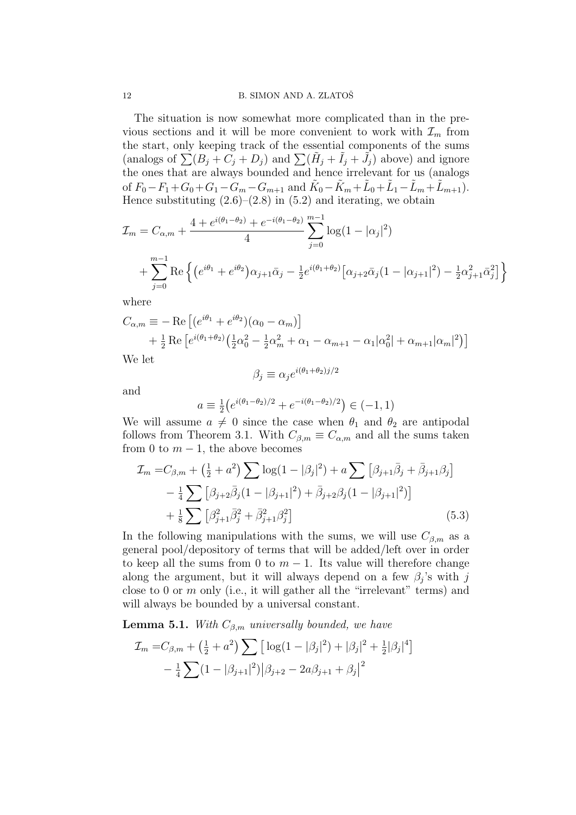12 B. SIMON AND A. ZLATOŠ

The situation is now somewhat more complicated than in the previous sections and it will be more convenient to work with  $\mathcal{I}_m$  from the start, only keeping track of the essential components of the sums (analogs of  $\sum (B_j + C_j + D_j)$  and  $\sum (\tilde{H}_j + \tilde{I}_j + \tilde{J}_j)$  above) and ignore the ones that are always bounded and hence irrelevant for us (analogs of  $F_0 - F_1 + G_0 + G_1 - G_m - G_{m+1}$  and  $\tilde{K}_0 - \tilde{K}_m + \tilde{L}_0 + \tilde{L}_1 - \tilde{L}_m + \tilde{L}_{m+1}$ . Hence substituting  $(2.6)$ – $(2.8)$  in  $(5.2)$  and iterating, we obtain

$$
\mathcal{I}_m = C_{\alpha,m} + \frac{4 + e^{i(\theta_1 - \theta_2)} + e^{-i(\theta_1 - \theta_2)}}{4} \sum_{j=0}^{m-1} \log(1 - |\alpha_j|^2)
$$

$$
+ \sum_{j=0}^{m-1} \text{Re}\left\{ \left( e^{i\theta_1} + e^{i\theta_2} \right) \alpha_{j+1} \bar{\alpha}_j - \frac{1}{2} e^{i(\theta_1 + \theta_2)} \left[ \alpha_{j+2} \bar{\alpha}_j (1 - |\alpha_{j+1}|^2) - \frac{1}{2} \alpha_{j+1}^2 \bar{\alpha}_j^2 \right] \right\}
$$

where

$$
C_{\alpha,m} \equiv -\operatorname{Re} \left[ (e^{i\theta_1} + e^{i\theta_2}) (\alpha_0 - \alpha_m) \right] + \frac{1}{2} \operatorname{Re} \left[ e^{i(\theta_1 + \theta_2)} \left( \frac{1}{2} \alpha_0^2 - \frac{1}{2} \alpha_m^2 + \alpha_1 - \alpha_{m+1} - \alpha_1 |\alpha_0^2| + \alpha_{m+1} |\alpha_m|^2 \right) \right]
$$

We let

$$
\beta_j \equiv \alpha_j e^{i(\theta_1 + \theta_2)j/2}
$$

and

$$
a \equiv \frac{1}{2} \left( e^{i(\theta_1 - \theta_2)/2} + e^{-i(\theta_1 - \theta_2)/2} \right) \in (-1, 1)
$$

We will assume  $a \neq 0$  since the case when  $\theta_1$  and  $\theta_2$  are antipodal follows from Theorem 3.1. With  $C_{\beta,m} \equiv C_{\alpha,m}$  and all the sums taken from 0 to  $m - 1$ , the above becomes

$$
\mathcal{I}_m = C_{\beta,m} + \left(\frac{1}{2} + a^2\right) \sum \log(1 - |\beta_j|^2) + a \sum \left[\beta_{j+1}\bar{\beta}_j + \bar{\beta}_{j+1}\beta_j\right] \n- \frac{1}{4} \sum \left[\beta_{j+2}\bar{\beta}_j(1 - |\beta_{j+1}|^2) + \bar{\beta}_{j+2}\beta_j(1 - |\beta_{j+1}|^2)\right] \n+ \frac{1}{8} \sum \left[\beta_{j+1}^2\bar{\beta}_j^2 + \bar{\beta}_{j+1}^2\beta_j^2\right]
$$
\n(5.3)

In the following manipulations with the sums, we will use  $C_{\beta,m}$  as a general pool/depository of terms that will be added/left over in order to keep all the sums from 0 to  $m - 1$ . Its value will therefore change along the argument, but it will always depend on a few  $\beta_j$ 's with j close to 0 or  $m$  only (i.e., it will gather all the "irrelevant" terms) and will always be bounded by a universal constant.

**Lemma 5.1.** With  $C_{\beta,m}$  universally bounded, we have

$$
\mathcal{I}_m = C_{\beta,m} + \left(\frac{1}{2} + a^2\right) \sum \left[ \log(1 - |\beta_j|^2) + |\beta_j|^2 + \frac{1}{2} |\beta_j|^4 \right] \n- \frac{1}{4} \sum (1 - |\beta_{j+1}|^2) |\beta_{j+2} - 2a\beta_{j+1} + \beta_j|^2
$$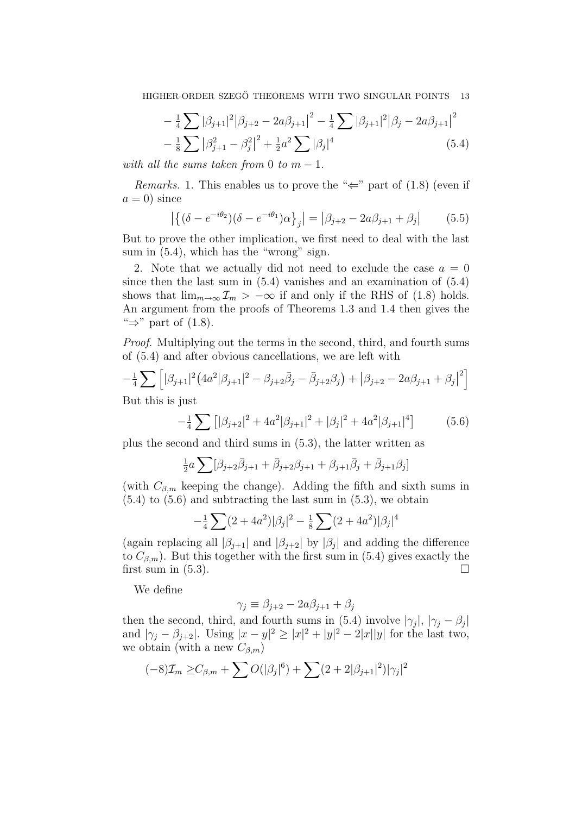$$
-\frac{1}{4}\sum |\beta_{j+1}|^2 |\beta_{j+2} - 2a\beta_{j+1}|^2 - \frac{1}{4}\sum |\beta_{j+1}|^2 |\beta_j - 2a\beta_{j+1}|^2 - \frac{1}{8}\sum |\beta_{j+1}|^2 |\beta_{j+1} - \beta_j^2|^2 + \frac{1}{2}a^2\sum |\beta_j|^4
$$
\n(5.4)

with all the sums taken from 0 to  $m-1$ .

*Remarks.* 1. This enables us to prove the " $\Leftarrow$ " part of (1.8) (even if  $a = 0$ ) since

$$
\left| \left\{ (\delta - e^{-i\theta_2}) (\delta - e^{-i\theta_1}) \alpha \right\}_j \right| = \left| \beta_{j+2} - 2a \beta_{j+1} + \beta_j \right| \tag{5.5}
$$

But to prove the other implication, we first need to deal with the last sum in  $(5.4)$ , which has the "wrong" sign.

2. Note that we actually did not need to exclude the case  $a = 0$ since then the last sum in  $(5.4)$  vanishes and an examination of  $(5.4)$ shows that  $\lim_{m\to\infty} \mathcal{I}_m > -\infty$  if and only if the RHS of (1.8) holds. An argument from the proofs of Theorems 1.3 and 1.4 then gives the " $\Rightarrow$ " part of (1.8).

Proof. Multiplying out the terms in the second, third, and fourth sums of (5.4) and after obvious cancellations, we are left with

$$
-\frac{1}{4}\sum \left[|\beta_{j+1}|^2(4a^2|\beta_{j+1}|^2-\beta_{j+2}\bar{\beta}_j-\bar{\beta}_{j+2}\beta_j)+|\beta_{j+2}-2a\beta_{j+1}+\beta_j|^2\right]
$$

But this is just

$$
-\frac{1}{4}\sum [\beta_{j+2}|^2 + 4a^2|\beta_{j+1}|^2 + |\beta_j|^2 + 4a^2|\beta_{j+1}|^4]
$$
(5.6)

plus the second and third sums in (5.3), the latter written as

$$
\frac{1}{2}a\sum_{j=1}^n[\beta_{j+2}\overline{\beta}_{j+1}+\overline{\beta}_{j+2}\beta_{j+1}+\beta_{j+1}\overline{\beta}_{j}+\overline{\beta}_{j+1}\beta_j]
$$

(with  $C_{\beta,m}$  keeping the change). Adding the fifth and sixth sums in  $(5.4)$  to  $(5.6)$  and subtracting the last sum in  $(5.3)$ , we obtain

$$
-\frac{1}{4}\sum_{i}(2+4a^{2})|\beta_{j}|^{2} - \frac{1}{8}\sum_{i}(2+4a^{2})|\beta_{j}|^{4}
$$

(again replacing all  $|\beta_{j+1}|$  and  $|\beta_{j+2}|$  by  $|\beta_j|$  and adding the difference to  $C_{\beta,m}$ ). But this together with the first sum in (5.4) gives exactly the first sum in  $(5.3)$ .

We define

$$
\gamma_j \equiv \beta_{j+2} - 2a\beta_{j+1} + \beta_j
$$

then the second, third, and fourth sums in (5.4) involve  $|\gamma_j|, |\gamma_j - \beta_j|$ and  $|\gamma_j - \beta_{j+2}|$ . Using  $|x - y|^2 \ge |x|^2 + |y|^2 - 2|x||y|$  for the last two, we obtain (with a new  $C_{\beta,m}$ )

$$
(-8)\mathcal{I}_m \geq C_{\beta,m} + \sum O(|\beta_j|^6) + \sum (2 + 2|\beta_{j+1}|^2)|\gamma_j|^2
$$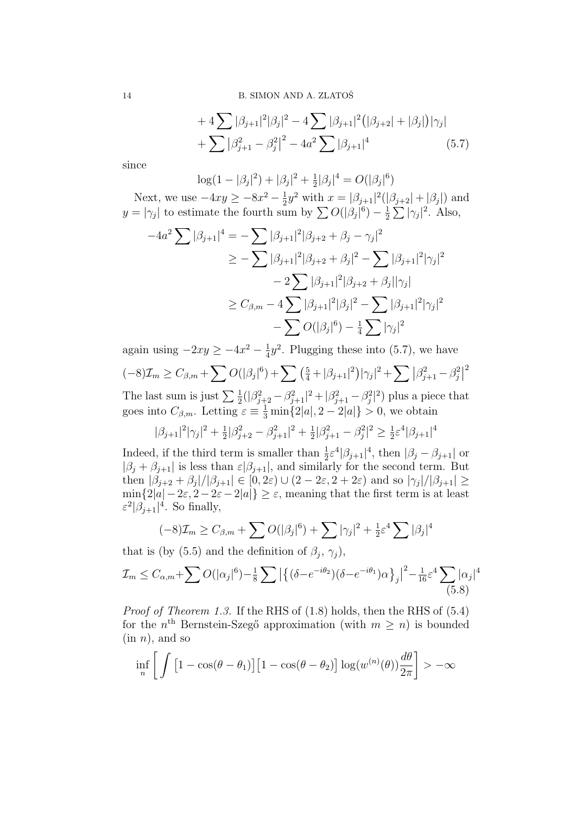14 B. SIMON AND A. ZLATOŠ

+ 
$$
4\sum |\beta_{j+1}|^2 |\beta_j|^2 - 4\sum |\beta_{j+1}|^2 (|\beta_{j+2}| + |\beta_j|)|\gamma_j|
$$
  
+  $\sum |\beta_{j+1}^2 - \beta_j^2|^2 - 4a^2 \sum |\beta_{j+1}|^4$  (5.7)

since

 $\log(1-|\beta_j|^2)+|\beta_j|^2+\frac{1}{2}$  $\frac{1}{2}|\beta_j|^4 = O(|\beta_j|^6)$ 

Next, we use  $-4xy \ge -8x^2 - \frac{1}{2}$  $\frac{1}{2}y^2$  with  $x = |\beta_{j+1}|^2(|\beta_{j+2}| + |\beta_j|)$  and  $y = |\gamma_j|$  to estimate the fourth sum by  $\sum O(|\beta_j|^6) - \frac{1}{2}$  $\frac{1}{2}\sum |\gamma_j|^2$ . Also,

$$
-4a^{2} \sum |\beta_{j+1}|^{4} = -\sum |\beta_{j+1}|^{2} |\beta_{j+2} + \beta_{j} - \gamma_{j}|^{2}
$$
  
\n
$$
\geq -\sum |\beta_{j+1}|^{2} |\beta_{j+2} + \beta_{j}|^{2} - \sum |\beta_{j+1}|^{2} |\gamma_{j}|^{2}
$$
  
\n
$$
- 2 \sum |\beta_{j+1}|^{2} |\beta_{j+2} + \beta_{j}| |\gamma_{j}|
$$
  
\n
$$
\geq C_{\beta,m} - 4 \sum |\beta_{j+1}|^{2} |\beta_{j}|^{2} - \sum |\beta_{j+1}|^{2} |\gamma_{j}|^{2}
$$
  
\n
$$
- \sum O(|\beta_{j}|^{6}) - \frac{1}{4} \sum |\gamma_{j}|^{2}
$$

again using  $-2xy \ge -4x^2 - \frac{1}{4}$  $\frac{1}{4}y^2$ . Plugging these into (5.7), we have  $(-8)\mathcal{I}_m \geq C_{\beta,m} + \sum O(|\beta_j|^6) + \sum \left(\frac{5}{4} + |\beta_{j+1}|^2\right) |\gamma_j|^2 + \sum |\beta_{j+1}^2 - \beta_j^2|$ 2

The last sum is just  $\sum_{i=1}^{\infty}(|\beta_{j+2}^2-\beta_{j+1}^2|^2+|\beta_{j+1}^2-\beta_{j}^2|^2)$  plus a piece that goes into  $C_{\beta,m}$ . Letting  $\varepsilon \equiv \frac{1}{3} \min\{2|a|, 2-2|a|\} > 0$ , we obtain

$$
|\beta_{j+1}|^2|\gamma_j|^2+\tfrac12|\beta_{j+2}^2-\beta_{j+1}^2|^2+\tfrac12|\beta_{j+1}^2-\beta_j^2|^2\geq\tfrac12\varepsilon^4|\beta_{j+1}|^4
$$

Indeed, if the third term is smaller than  $\frac{1}{2} \varepsilon^4 |\beta_{j+1}|^4$ , then  $|\beta_j - \beta_{j+1}|$  or  $|\beta_j + \beta_{j+1}|$  is less than  $\varepsilon |\beta_{j+1}|$ , and similarly for the second term. But then  $|\beta_{j+2} + \beta_j|/|\beta_{j+1}| \in [0, 2\varepsilon) \cup (2 - 2\varepsilon, 2 + 2\varepsilon)$  and so  $|\gamma_j|/|\beta_{j+1}| \ge$  $\min\{2|a|-2\varepsilon, 2-2\varepsilon-2|a|\}\geq \varepsilon$ , meaning that the first term is at least  $\varepsilon^2 |\beta_{j+1}|^4$ . So finally,

$$
(-8)\mathcal{I}_m \geq C_{\beta,m} + \sum O(|\beta_j|^6) + \sum |\gamma_j|^2 + \frac{1}{2}\varepsilon^4 \sum |\beta_j|^4
$$

that is (by (5.5) and the definition of  $\beta_j$ ,  $\gamma_j$ ),

$$
\mathcal{I}_m \le C_{\alpha,m} + \sum O(|\alpha_j|^6) - \frac{1}{8} \sum \left| \left\{ (\delta - e^{-i\theta_2}) (\delta - e^{-i\theta_1}) \alpha \right\}_j \right|^2 - \frac{1}{16} \varepsilon^4 \sum_{(5.8)} |\alpha_j|^4
$$

*Proof of Theorem 1.3.* If the RHS of  $(1.8)$  holds, then the RHS of  $(5.4)$ for the  $n<sup>th</sup>$  Bernstein-Szegő approximation (with  $m \geq n$ ) is bounded  $(in n)$ , and so

$$
\inf_{n} \left[ \int \left[ 1 - \cos(\theta - \theta_1) \right] \left[ 1 - \cos(\theta - \theta_2) \right] \log(w^{(n)}(\theta)) \frac{d\theta}{2\pi} \right] > -\infty
$$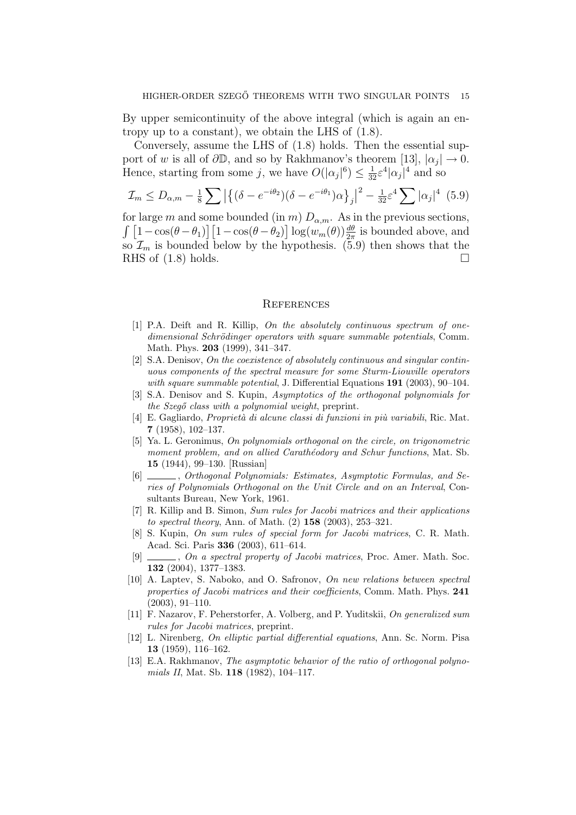By upper semicontinuity of the above integral (which is again an entropy up to a constant), we obtain the LHS of (1.8).

Conversely, assume the LHS of (1.8) holds. Then the essential support of w is all of  $\partial \mathbb{D}$ , and so by Rakhmanov's theorem [13],  $|\alpha_j| \to 0$ . Hence, starting from some j, we have  $O(|\alpha_j|^6) \leq \frac{1}{32} \varepsilon^4 |\alpha_j|^4$  and so

$$
\mathcal{I}_m \le D_{\alpha,m} - \frac{1}{8} \sum \left| \left\{ (\delta - e^{-i\theta_2}) (\delta - e^{-i\theta_1}) \alpha \right\}_j \right|^2 - \frac{1}{32} \varepsilon^4 \sum |\alpha_j|^4 \tag{5.9}
$$

for large m and some bounded (in m)  $D_{\alpha,m}$ . As in the previous sections,  $\int [1-\cos(\theta-\theta_1)] [1-\cos(\theta-\theta_2)] \log(w_m(\theta)) \frac{d\theta}{2\pi}$  is bounded above, and so  $\mathcal{I}_m$  is bounded below by the hypothesis. (5.9) then shows that the RHS of  $(1.8)$  holds.

#### **REFERENCES**

- [1] P.A. Deift and R. Killip, On the absolutely continuous spectrum of onedimensional Schrödinger operators with square summable potentials, Comm. Math. Phys. 203 (1999), 341–347.
- [2] S.A. Denisov, On the coexistence of absolutely continuous and singular continuous components of the spectral measure for some Sturm-Liouville operators with square summable potential, J. Differential Equations  $191$  (2003), 90–104.
- [3] S.A. Denisov and S. Kupin, Asymptotics of the orthogonal polynomials for the  $Szeg\acute{o}$  class with a polynomial weight, preprint.
- $[4]$  E. Gagliardo, *Proprietà di alcune classi di funzioni in più variabili*, Ric. Mat. 7 (1958), 102–137.
- [5] Ya. L. Geronimus, On polynomials orthogonal on the circle, on trigonometric moment problem, and on allied Carathéodory and Schur functions, Mat. Sb. 15 (1944), 99–130. [Russian]
- [6]  $\_\_\_\_\_$ , Orthogonal Polynomials: Estimates, Asymptotic Formulas, and Series of Polynomials Orthogonal on the Unit Circle and on an Interval, Consultants Bureau, New York, 1961.
- [7] R. Killip and B. Simon, Sum rules for Jacobi matrices and their applications to spectral theory, Ann. of Math. (2) 158 (2003), 253–321.
- [8] S. Kupin, On sum rules of special form for Jacobi matrices, C. R. Math. Acad. Sci. Paris 336 (2003), 611–614.
- [9]  $\_\_\_\_\_\$  on a spectral property of Jacobi matrices, Proc. Amer. Math. Soc. 132 (2004), 1377–1383.
- [10] A. Laptev, S. Naboko, and O. Safronov, On new relations between spectral properties of Jacobi matrices and their coefficients, Comm. Math. Phys. 241 (2003), 91–110.
- [11] F. Nazarov, F. Peherstorfer, A. Volberg, and P. Yuditskii, On generalized sum rules for Jacobi matrices, preprint.
- [12] L. Nirenberg, On elliptic partial differential equations, Ann. Sc. Norm. Pisa 13 (1959), 116–162.
- [13] E.A. Rakhmanov, The asymptotic behavior of the ratio of orthogonal polynomials II, Mat. Sb. 118 (1982), 104–117.